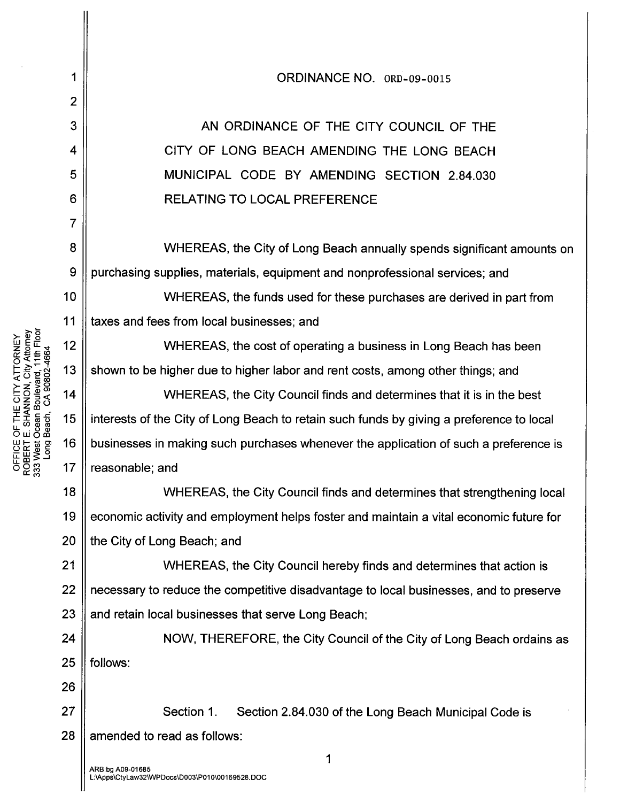WHEREAS, the City Council finds and determines that strengthening local economic activity and employment helps foster and maintain a vital economic future for 20 | the City of Long Beach; and 21 ||<br>
WHEREAS, the City Council hereby finds and determines that action is 22 | necessary to reduce the competitive disadvantage to local businesses, and to preserve 23  $\parallel$  and retain local businesses that serve Long Beach; 24 || NOW, THEREFORE, the City Council of the City of Long Beach ordains as  $25$  || follows: 1 2 3 4 5 6 7 8 9 10 11 18 19 26 27 ORDINANCE NO. ORD-09-001S AN ORDINANCE OF THE CITY COUNCIL OF THE CITY OF LONG BEACH AMENDING THE LONG BEACH MUNICIPAL CODE BY AMENDING SECTION 2.84.030 RELATING TO LOCAL PREFERENCE WHEREAS, the City of Long Beach annually spends significant amounts on purchasing supplies, materials, equipment and nonprofessional services; and WHEREAS, the funds used for these purchases are derived in part from taxes and fees from local businesses; and WHEREAS, the cost of operating a business in Long Beach has been shown to be higher due to higher labor and rent costs, among other things; and WHEREAS, the City Council finds and determines that it is in the best interests of the City of Long Beach to retain such funds by giving a preference to local businesses in making such purchases whenever the application of such a preference is reasonable; and Section 1. Section 2.84.030 of the Long Beach Municipal Code is  $28$  || amended to read as follows: 1

**ANEWENDRINEY**<br> *E* City Atterney<br>
City Afterney<br>
City Age 13<br>
Company<br>
Company<br>
Company<br>
City Age 13 Beach, CA 90802-4664 ~z- >0 <sup>w</sup>Ol \_0""3« 14 *OZOO* wZcc I«c::.c I-Irou 15 LL~~m Owocc Wl- .•... Ol Oc:::CIlc::16 ⊑ั⊑<br>0e::::\*<br>© 2c::: 17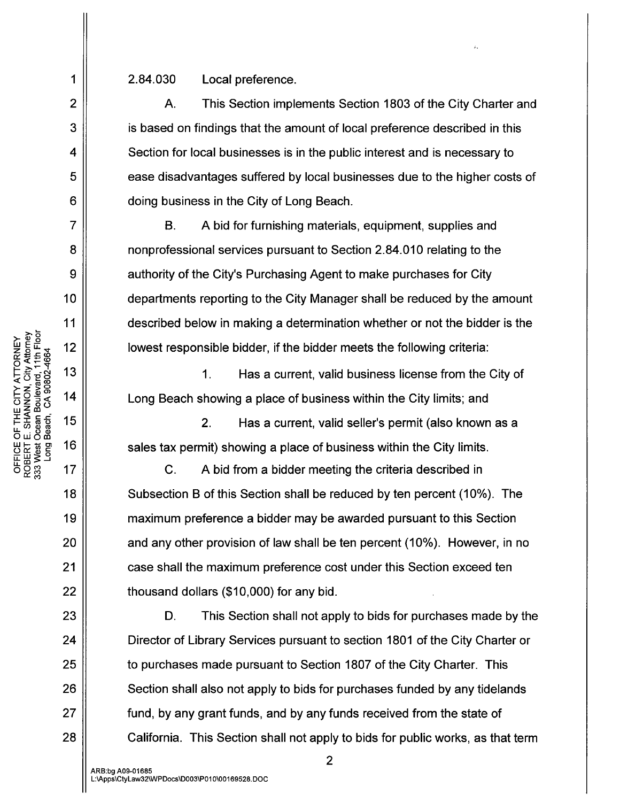2.84.030 Local preference.

A. This Section implements Section 1803 of the City Charter and is based on findings that the amount of local preference described in this Section for local businesses is in the public interest and is necessary to ease disadvantages suffered by local businesses due to the higher costs of doing business in the City of Long Beach.

B. A bid for furnishing materials, equipment, supplies and nonprofessional services pursuant to Section 2.84.010 relating to the authority of the City's Purchasing Agent to make purchases for City departments reporting to the City Manager shall be reduced by the amount described below in making a determination whether or not the bidder is the lowest responsible bidder, if the bidder meets the following criteria:

1. Has a current, valid business license from the City of Long Beach showing a place of business within the City limits; and

2. Has a current, valid seller's permit (also known as a sales tax permit) showing a place of business within the City limits.

C. A bid from a bidder meeting the criteria described in Subsection B of this Section shall be reduced by ten percent (10%). The maximum preference a bidder may be awarded pursuant to this Section and any other provision of law shall be ten percent (10%). However, in no case shall the maximum preference cost under this Section exceed ten thousand dollars (\$10,000) for any bid.

D. This Section shall not apply to bids for purchases made by the Director of Library Services pursuant to section 1801 of the City Charter or to purchases made pursuant to Section 1807 of the City Charter. This Section shall also not apply to bids for purchases funded by any tidelands fund, by any grant funds, and by any funds received from the state of California. This Section shall not apply to bids for public works, as that term

1

2

3

4

5

6

7

8

9

10

11

18

19

20

21

22

23

24

25

26

27

28

2